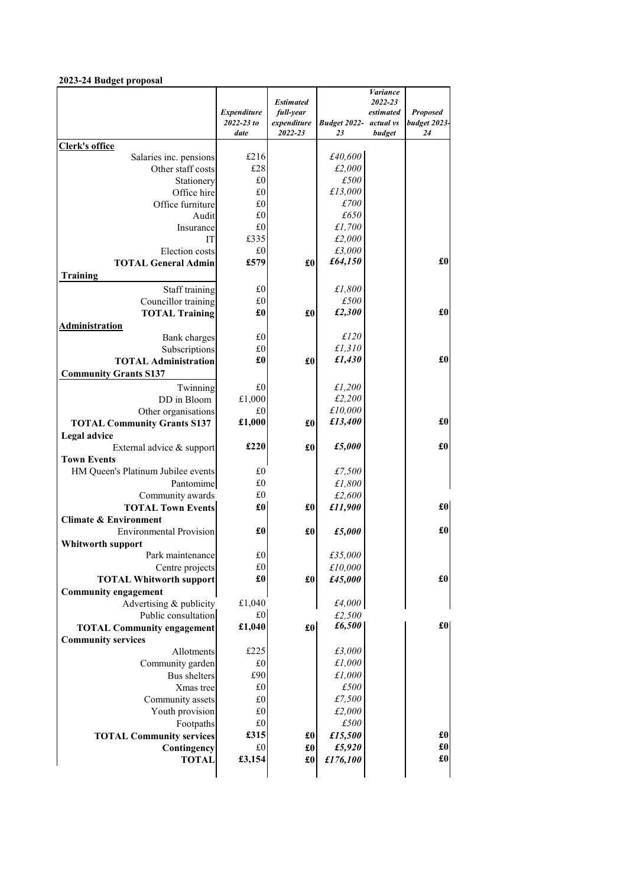## **2023-24 Budget proposal**

|                                    |                     |                           |                              | <b>Variance</b> |                    |
|------------------------------------|---------------------|---------------------------|------------------------------|-----------------|--------------------|
|                                    |                     | <b>Estimated</b>          |                              | 2022-23         |                    |
|                                    | <b>Expenditure</b>  | full-year                 |                              | estimated       | <b>Proposed</b>    |
|                                    | 2022-23 to<br>date  | expenditure<br>2022-23    | Budget 2022- actual vs<br>23 | budget          | budget 2023-<br>24 |
| <b>Clerk's office</b>              |                     |                           |                              |                 |                    |
| Salaries inc. pensions             | £216                |                           | £40,600                      |                 |                    |
| Other staff costs                  | £28                 |                           | £2,000                       |                 |                    |
| Stationery                         | $\pounds 0$         |                           | £500                         |                 |                    |
| Office hire                        | $\pounds 0$         |                           | £13,000                      |                 |                    |
| Office furniture                   | £0                  |                           | £700                         |                 |                    |
| Audit                              | $\pounds 0$         |                           | £650                         |                 |                    |
| Insurance                          | £0                  |                           | £1,700                       |                 |                    |
| IT                                 | £335                |                           | £2,000                       |                 |                    |
| Election costs                     | £0                  |                           | £3,000                       |                 |                    |
| <b>TOTAL General Admin</b>         | £579                | £0                        | £64,150                      |                 | £0                 |
|                                    |                     |                           |                              |                 |                    |
| <b>Training</b>                    |                     |                           |                              |                 |                    |
| Staff training                     | £0                  |                           | £1,800                       |                 |                    |
| Councillor training                | £0                  |                           | £500                         |                 |                    |
| <b>TOTAL Training</b>              | $\pmb{\pmb{\pm 0}}$ | £0                        | £2,300                       |                 | £0                 |
| Administration                     |                     |                           |                              |                 |                    |
| <b>Bank</b> charges                | £0                  |                           | £120                         |                 |                    |
| Subscriptions                      | £0                  |                           | £1,310                       |                 |                    |
| <b>TOTAL Administration</b>        | £O                  | £0                        | £1,430                       |                 | $\pmb{\pounds}$    |
| <b>Community Grants S137</b>       |                     |                           |                              |                 |                    |
| Twinning                           | £0                  |                           | £1,200                       |                 |                    |
| DD in Bloom                        | £1,000              |                           | £2,200                       |                 |                    |
| Other organisations                | £0                  |                           | £10,000                      |                 |                    |
| <b>TOTAL Community Grants S137</b> | £1,000              | £0                        | £13,400                      |                 | £0                 |
| <b>Legal</b> advice                |                     |                           |                              |                 |                    |
| External advice & support          | £220                | $\pmb{\pmb{\pm 0}}$       | £5,000                       |                 | $\pmb{\pounds}$    |
| <b>Town Events</b>                 |                     |                           |                              |                 |                    |
| HM Queen's Platinum Jubilee events | £0                  |                           | £7,500                       |                 |                    |
| Pantomime                          | £0                  |                           | £1,800                       |                 |                    |
| Community awards                   | £0                  |                           | £2,600                       |                 |                    |
| <b>TOTAL Town Events</b>           | $\pmb{\pmb{\pm 0}}$ | $\pmb{\pmb{\pm 0}}$       | £11,900                      |                 | $\pmb{\pounds}$    |
| <b>Climate &amp; Environment</b>   |                     |                           |                              |                 |                    |
| <b>Environmental Provision</b>     | $\pmb{\pounds}$ 0   | $\pmb{\pmb{\pm 0}}$       | £5,000                       |                 | $\pmb{\pounds}$ 0  |
|                                    |                     |                           |                              |                 |                    |
| Whitworth support                  |                     |                           |                              |                 |                    |
| Park maintenance                   | $\pounds 0$         |                           | £35,000                      |                 |                    |
| Centre projects                    | $\pounds 0$         |                           | £10,000                      |                 |                    |
| <b>TOTAL Whitworth support</b>     | $\pmb{\pmb{\pm 0}}$ | $\pmb{\pmb{\pm 0}}$       | £45,000                      |                 | $\pmb{\pounds}$    |
| <b>Community engagement</b>        |                     |                           |                              |                 |                    |
| Advertising & publicity            | £1,040              |                           | £4,000                       |                 |                    |
| Public consultation                | £0                  |                           | £2,500                       |                 |                    |
| <b>TOTAL Community engagement</b>  | £1,040              | $\pmb{\pounds}$           | £6,500                       |                 | £0                 |
| <b>Community services</b>          |                     |                           |                              |                 |                    |
| Allotments                         | £225                |                           | £3,000                       |                 |                    |
| Community garden                   | £0                  |                           | £1,000                       |                 |                    |
| <b>Bus</b> shelters                | £90                 |                           | £1,000                       |                 |                    |
| Xmas tree                          | $\pounds 0$         |                           | £500                         |                 |                    |
| Community assets                   | $\pounds 0$         |                           | £7,500                       |                 |                    |
| Youth provision                    | $\pounds 0$         |                           | £2,000                       |                 |                    |
| Footpaths                          | £0                  |                           | £500                         |                 |                    |
|                                    | £315                | $\pmb{\pmb{\pm 0}}$       | £15,500                      |                 | $\pmb{\pounds}$ 0  |
| <b>TOTAL Community services</b>    |                     |                           |                              |                 |                    |
| Contingency                        | £0                  | $\pmb{\pmb{\pmb{\pm} 0}}$ | £5,920                       |                 | $\pmb{\pounds}$    |